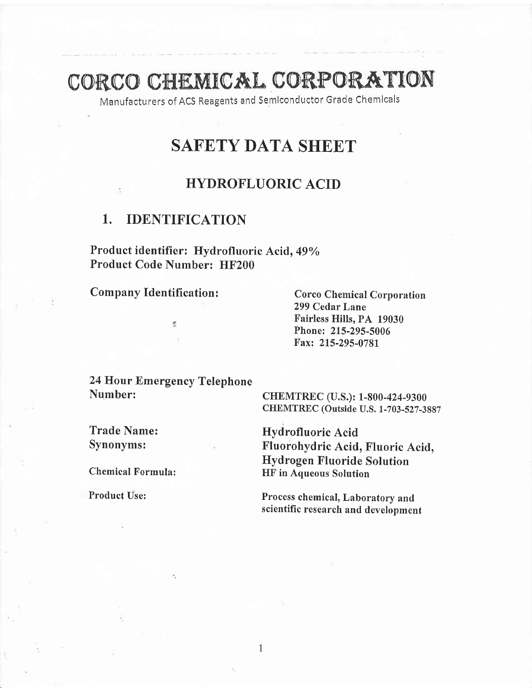# CORCO CHEMICAL CORPORATION

Manufacturers of ACS Reagents and Semlconductor Grade Chemlcals

# SAFETY DATA SHEET

# HYDROFLUORIC ACID

# 1. IDENTIFICATION

Product identifier: Hydrofluoric Acid, 49% Product Code Number: HF200

Company Identification: Corco Chemical Corporation

299 Cedar Lane Fairless Hills, PA 19030 Phone: 215-295-5006 Fax: 215-295-0781

24 Hour Emergency Telephone

뿡

CHEMTREC (U.S.): 1-800-424-9300 CHEMTREC (Outside U.S. 1-703-527-3887

Trade Name: Hydrofluoric Acid<br>
Synonyms: Fluorohydric Acid, Fluoric Acid, Hydrogen Fluoride Solution Chemical Formula: HF in Aqueous Solution

Product Use: Process chemical, Laboratory and scientific research and development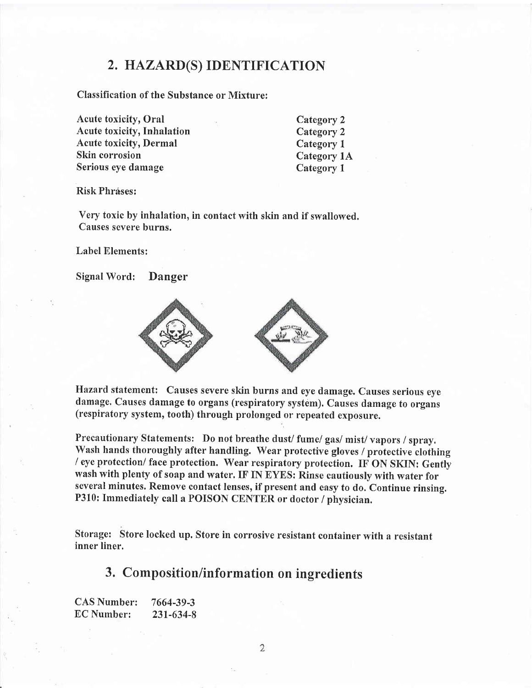## 2, HAZARD(S) IDENTIFICATION

Classification of the Substance or Mixture:

Acute toxicity, Oral Acute toxicity, Inhalation Acute toxicity, Dermal Skin corrosion Serious eye damage

Category 2 Category 2 Category <sup>1</sup> Category 1A Category <sup>1</sup>

Risk Phráses:

Very toxic by inhalation, in contact with skin and if swallowed. Causes severe burns.

Label Elements:

Signal Word: Danger



Hazard statement: Causes severe skin burns and eye damage. Causes serious eye damage. Causes damage to organs (respiratory system). Causes damage to organs (respiratory system, tooth) through prolonged or repeated exposure.

Precautionary Statements: Do not breathe dust/ fume/ gas/ mist/ vapors / spray. Wash hands thoroughly after handling. Wear protective gloves / protective clothing / eye protection/ face protection. Wear respiratory protection. IF ON SKIN: Genfly wash with plenty of soap and water. IF IN EYES: Rinse cautiously with water for several minutes. Remove contact lenses, if present and easy to do. Continue rinsing. P310: Immediately call a POISON CENTER or doctor / physician.

Storage: Store locked up. Store in corrosive resistant container with a resistant inner liner.

## 3. Composition/information on ingredients

CAS Number: 7664-39-3 EC Number: 231-634-8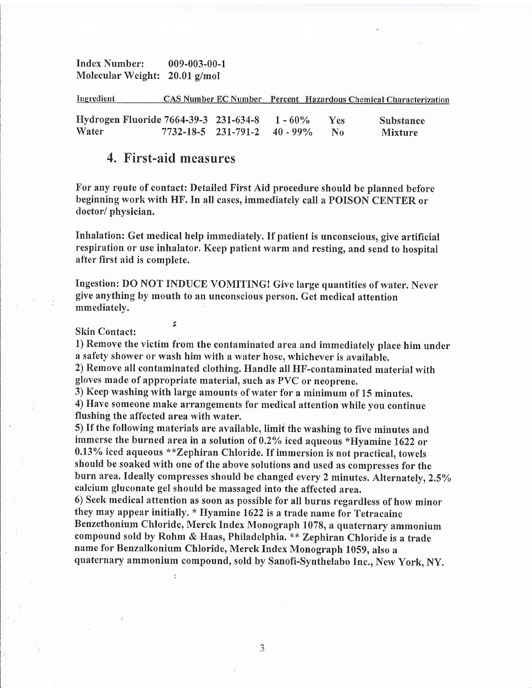Index Number: 009-003-00-1 Molecular Weight: 20.01 g/mol

| Ingredient |                                       |                                    |            |     | CAS Number EC Number Percent Hazardous Chemical Characterization |  |
|------------|---------------------------------------|------------------------------------|------------|-----|------------------------------------------------------------------|--|
|            | Hydrogen Fluoride 7664-39-3 231-634-8 |                                    | $1 - 60\%$ | Yes | Substance                                                        |  |
| Water      |                                       | $7732 - 18 - 5$ 231-791-2 40 - 99% |            |     | <b>Mixture</b>                                                   |  |

### 4, First-aid measures

For any route of contact: Detailed First Aid procedure should be planned before beginning work with HF. In all cases, immediately call a PoISoN CENTER or doctor/ physician.

Inhalation: Get medical help immediately. If patient is unconscious, give artificial respiration or use inhalator. Keep patient warm and resting, and send to hospital after first aid is complete.

Ingestion: DO NOT INDUCE VOMITINGI Give large quantities of water. Never give anything by mouth to an unconscious person. Get medical attention mmediately.

# Skin Contact:

1) Remove the victim from the contaminated area and immediately place him under a safety shower or wash him with a water hose, whichever is available.

2) Remove all contaminated clothing. Handle all HF-contaminated material with gloves made of appropriate material, such as PVC or neoprene.

3) Keep washing with large amounts of water for a minimum of 15 minutes. 4) Have someone make arrangements for medical attention while you continue flushing the affected area with water.

5) If the following materials are available, limit the washing to five minutes and immerse the burned area in a solution of  $0.2\%$  iced aqueous \*Hyamine 1622 or  $0.13\%$  iced aqueous \*\* Zephiran Chloride. If immersion is not practical, towels should be soaked with one of the aboye solutions and used as compresses for the burn area. Ideally compresses should be changed every 2 minutes. Alternately, 2.5% calcium gluconate gel should be massaged into the affected area.

6) Seel< medical attention as soon as possible for all burns regardless of how minor they may appear initially. \* Hyamine 1622 is a trade name for Tetracaine Benzethonium Chloride, Merck Index Monograph 1078, a quaternary ammonium compound sold by Rohm & Haas, Philadelphia, \*\* Zephiran Chloride is a trade name for Benzalkonium chloride, Merck Index Monograph 1059, also <sup>a</sup> quaternary ammonium compound, sold by Sanofi-Synthelabo Inc., New York, NY.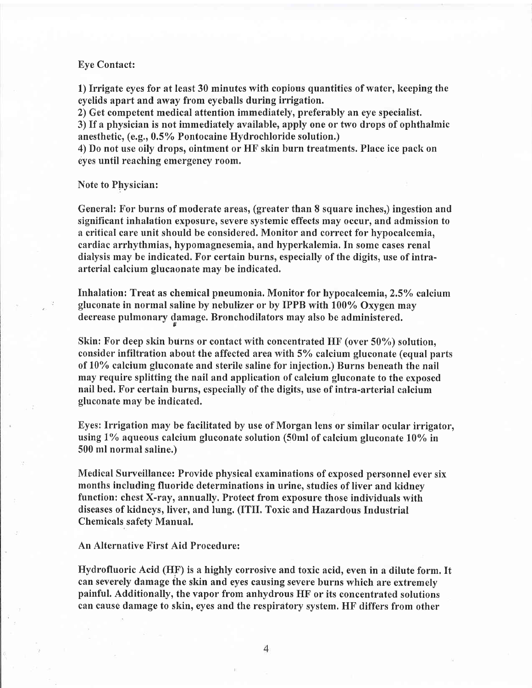#### Eye Contact:

1) Irrigate eyes for at least 30 minutes with copious quantities of water, keeping the eyelids apart and away from eyeballs during irrigation.

2) Get competent medical attention immediately, preferably an eye specialist. 3) If a physician is not immediately available, apply one or two drops of ophthalmic anesthetic, (e.g., 0.57o Pontocaine Hydrochloride solution.)

4) Do not use oily drops, ointment or HF skin burn treatments. Place ice pack on eyes until reaching emergency room.

#### Note to Physician:

General: For burns of moderate areas, (greater than 8 square inches,) ingestion and significant inhalation exposure, seyere systemic effects may occur, and admission to a critical care unit should be considered. Monitor and correct for hypocalcemia, cardiac arrhythmias, hypomagnesemia, and hyperkalemia. In some cases renal dialysis may be indicated. For certain burns, especially of the digits, use of intraarterial calcium glucaonate may be indicated.

Inhalation: Treat as chemical pneumonia. Monitor for hypocalcemia, 2.5% calcium gluconate in normal saline by nebulizer or by IPPB with 100% Oxygen may decrease pulmonary damage. Bronchodilators may also be administered.

Skin: For deep skin burns or contact with concentrated HF (over 50%) solution, consider infiltration about the affected area with 5% calcium gluconate (equal parts of 10% calcium gluconate and sterile saline for injection.) Burns beneath the nail may require splitting the nail and application of calcium gluconate to the exposed nail bed. For certain burns, especially of the digits, use of intra-arterial calcium gluconate may be indicated.

Eyes: Irrigation may be facilitated by use of Morgan lens or similar ocular irrigator, using  $1\%$  aqueous calcium gluconate solution (50ml of calcium gluconate  $10\%$  in 500 ml normal saline.)

Medical Surveillance: Provide physical examinations of exposed personnel ever six months including fluoride determinations in urine, studies of liver and kidney function: chest X-ray, annually. Protect from exposure those individuals with diseases of kidneys, liver, and lung. (ITII. Toxic and Hazardous Industrial Chemicals safety Manual,

An Alternative First Aid Procedure:

Hydrofluoric Acid (HF) is a highly corrosive and toxic acid, even in a dilute form. It can severely damage fhe skin and eyes causing severe burns which are extremely painful. Additionally, the vapor from anhydrous HF or its concentrated solutions can cause damage to skin, eyes and the respiratory system. HF differs from other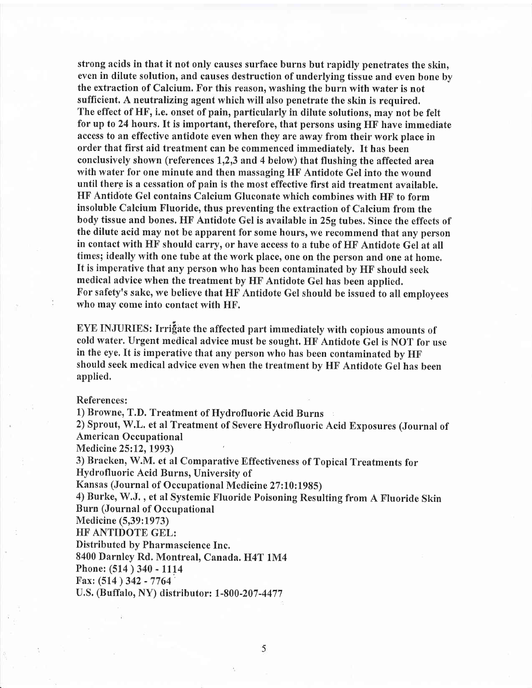strong acids in that it not only causes surface burns but rapidly penetrates the skin, even in dilute solution, and causes destruction of underlying tissue and even bone by the extraction of Calcium. For this reason, washing the burn with water is not sufficient. A neutralizing agent which will also penetrate the skin is required. The effect of HF, i.e. onset of pain, particularly in dilute solutions, may not be felt for up to 24 hours. It is important, therefore, that persons using  $HF$  have immediate access to an effective antidote even when they are away from their work place in order that first aid treatment can be commenced immediately. It has been conclusively shown (references  $1,2,3$  and 4 below) that flushing the affected area with water for one minute and then massaging HF Antidote Gel into the wound until there is a cessation of pain is the most effective first aid treatment available. HF Antidote Gel contains Calcium Gluconate which combines with HF to form insoluble Calcium Fluoride, thus preventing the extraction of Calcium from the body tissue and bones. HF Antidote Gel is available in 25g tubes. Since the effects of the dilute acid may not be apparent for some hours, we recommend that any person in contact with HF should carry, or have access to a tube of HF Antidote Gel at all times; ideally with one tube at the work place, one on the person and one at home. It is imperative that any person who has been contaminated by HF should seek medical advice when the treatment by HF Antidote Gel has been applied. For safety's sake, we believe that HF Antidote Gel should be issued to all employees who may come into contact with HF.

EYE INJURIES: Irrifiate the affected part immediately with copious amounts of cold water. Urgent medical advice must be sought. HF Antidote Gel is NOT for use in the eye. It is imperative that any person who has been contaminated by HF should seek medical advice even when the treatment by HF Antidote Gel has been applied.

References:

1) Browne, T.D. Treatment of Hydrofluoric Acid Burns

2) Sprout, W.L. et al Treatment of Severe Hydrofluoric Acid Exposures (Journal of American Occupational

Medicine 25:12,1993)

3) Bracken, W.M. et al Comparative Effectiveness of Topical Treatments for Hydrofluoric Acid Burns, Universify of

Kansas (Journal of Occupational Medicine 27:10:1985)

4) Burke, W.J., et al Systemic Fluoride Poisoning Resulting from A Fluoride Skin Burn (Journal of Occupational

Medicine (5,39:1973)

HF ANTIDOTE GEL:

Distributed by Pharmascience Inc.

8400 Darnley Rd. Montreal, Canada. H4T 1M4

Phone: (514) 340 - 1114

Fax: (514) 342 - 7764

U.S. (Buffalo, NY) distributor: 1-800-207 -4477

5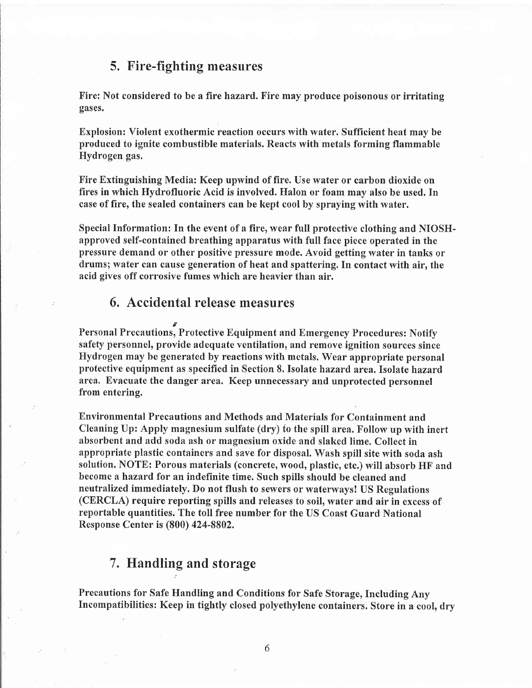## 5. Fire-fighting measures

Fire: Not considered to be a fire hazard. Fire may produce poisonous or irritating gases.

Explosion: Violent exothermic reaction occurs with water. Sufficient heat may be produced to ignite combustible materials. Reacts with metals forming flammable Hydrogen gas.

Fire Extinguishing Media: Keep upwind of fire. Use water or carbon dioxide on fires in which Hydrofluoric Acid is involved. Halon or foam may also be used. In case of fire, the sealed containers can be kept cool by spraying with water.

Special Information: In the event of a fire, wear full protective clothing and NIOSHapproved self-contained breathing apparatus with full face piece operated in the pressure demand or other positive pressure mode. Avoid getting water in tanks or drums; water can cause generation of heat and spattering. In contact with air, the acid gives off corrosive fumes which are heavier than air.

# 6, Accidental release measures

Personal Precautions, Protective Equipment and Emergency Procedures: Notify safefy personnel, provide adequate ventilation, and remove ignition sources since Hydrogen may be generated by reactions with metals, Wear appropriate personal protective equipment as specified in Section 8. Isolate hazard area. Isolate hazard area. Evacuate the danger area. Keep unnecessary and unprotected personnel from entering.

Environmental Precautions and Methods and Materials for Containment and Cleaning Up: Apply magnesium sulfate (dry) to the spill area. Follow up with inert absorbent and add soda ash or magnesium oxide and slaked lime. Collect in appropriate plastic containers and save for disposal. Wash spill site with soda ash solution. NOTE: Porous materials (concrete, wood, plastic, etc.) will absorb HF and become ahazard for an indefinite time. Such spills should be cleaned and neutralized immediately. Do not flush to sewers or waterways! US Regulations (CERCLA) require reporting spills and releases to soil, water and air in excess of reportable quantities. The toll free number for the US Coast Guard National Response Center is (800) 424-8802,

# 7. Handling and storage

Precautions for Safe Handling and Conditions for Safe Storage, Including Any Incompatibilities: Keep in tightly closed polyethylene containers. Store in a cool, dry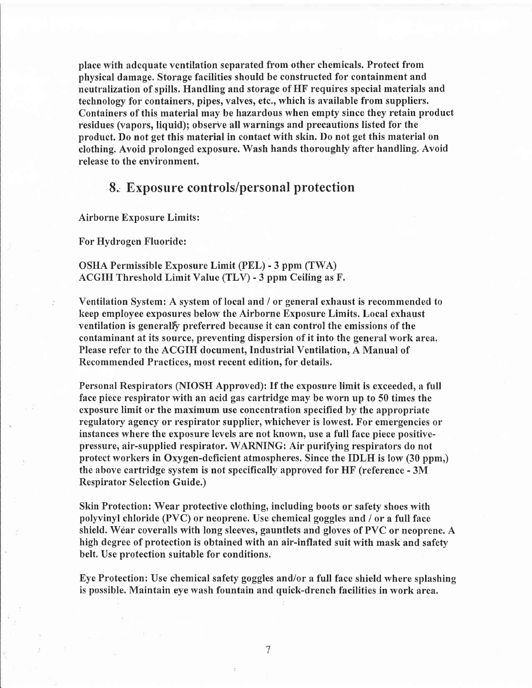place with adequate ventilation separated from other chemicals. Protect from physical damage. Storage facilities should be constructed for containment and neutralization of spills. Handling and storage of HF requires special materials and technology for containers, pipes, valves, etc., which is available from suppliers. Containers of this material may be hazardous when empty since they retain product residues (vapors, liquid); observe all warnings and precautions listed for the product. Do not get this material in contact with skin. Do not get this material on clothing. Avoid prolonged exposure. Wash hands thoroughly after handling. Avoid release to the environment.

# 8., Exposure controls/personal protection

Airborne Exposure Limits:

For Hydrogen Fluoride:

OSHA Permissible Exposure Limit (PEL) - 3 ppm (TWA) ACGIH Threshold Limit Value (TLV) - 3 ppm Ceiling as F.

Ventilation System: A system of local and / or general exhaust is recommended to heep employee exposures below the Airborne Exposure Limits. Local exhaust ventilation is generally preferred because it can control the emissions of the contaminant at its source, preventing dispersion of it into the general work area. Please refer to the ACGIH document, Industrial Ventilation, A Manual of Recommended Practices, most recent edition, for details,

Personal Respirators (NIOSH Approved): If the exposure limit is exceeded, a full face piece respirator with an acid gas cartridge may be worn up to 50 times the exposure limit or the maximum use concentration specified by the appropriate regulatory agency or respirator supplier, whichever is lowest. For emergencies or instances where the exposure levels are not known, use a full face piece positivepressure, air-supplied respirator. WARNING: Air purifying respirators do not protect workers in Oxygen-deficient atmospheres. Since the IDLH is low (30 ppm,) the above cartridge system is not specifically approved for HF (reference - 3M Respirator Selection Guide.)

Skin Protection: Wear protective clothing, including boots or safefy shoes with polyvinyl chloride (PVC) or neoprene. Use chemical goggles and / or a full face shield. Wear coveralls with long sleeves, gauntlets and gloves of PVC or neoprene. A high degree of protection is obtained with an air-inflated suit with mask and safety belt. Use protection suitable for conditions.

Eye Protection: Use chemical safety goggles and/or a full face shield where splashing is possible. Maintain eye wash fountain and quick-drench facilities in work area.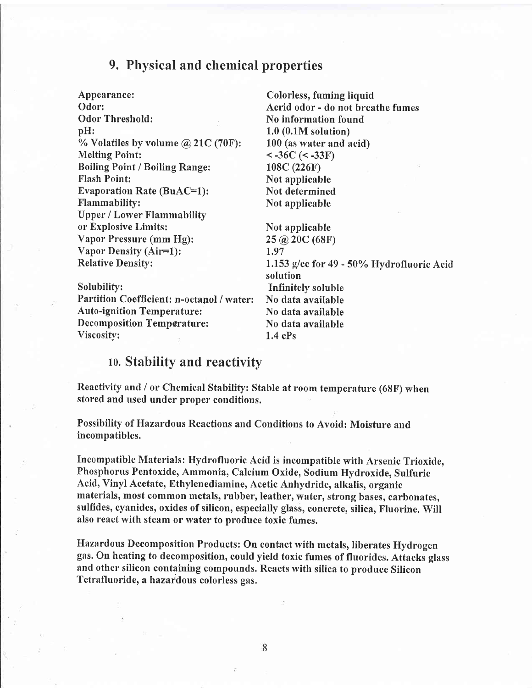# 9, Physical and chemical properties

Appearance: Odor: Melting Point: Boiling Point / Boiling Range; Flash Point: Evaporation Rate (BuAC=1): Flammability: Upper / Lower Flammability or Explosive Limits: Vapor Pressure (mm Hg): Vapor Density (Air=l): Relative Densitv: Odor Threshold: No information found<br>pH: 1.0 (0.1M solution) % Volatiles by volume  $\omega$  21C (70F): 100 (as water and acid)

 $< -36C$  ( $< -33F$ ) 108C (226F) Not applicable Not determined Not applicable

Acrid odor - do not breathe fumes

Colorless, fuming liquid

Not applicable 2s @ 20c (68F) 1,97 1.153 g/cc for  $49 - 50\%$  Hydrofluoric Acid solution Solubility: Infinitely soluble Partition Coefficient: n-octanol / water: No data available Auto-ignition Temperature: No data available Decomposition Temperature: No data available

# Viscosity: 1.4 cPs

# 10. Stability and reactivity

Reactivity and / or Chemical Stability: Stable at room temperature (68F) when stored and used under proper conditions.

Possibility of Hazardous Reactions and Conditions to Avoid: Moisture and incompatibles.

Incompatible Materials: Hydrofluoric Acid is incompatible with Arsenic Trioxide, Phosphorus Pentoxide, Ammonia, Calcium Oxide, Sodium Hydroxide, Sulfuric Acid, Vinyl Acetate, Ethylenediamine, Acetic Anhydride, alkalis, organic materials, most common metals, rubber, leather, water, strong bases, carbonates, sulfides, cyanides, oxides of silicon, especially glass, concrete, silica, Fluorine. Will also react with steam or water to produce toxic fumes.

Hazardous Decomposition Products: On contact with metals, liberates Hydrogen gas. On heating to decomposition, could yield toxic fumes of fluorides. Attacks glass and other silicon containing compounds. Reacts with silica to produce Silicon Tetrafluoride, a hazardous colorless gas.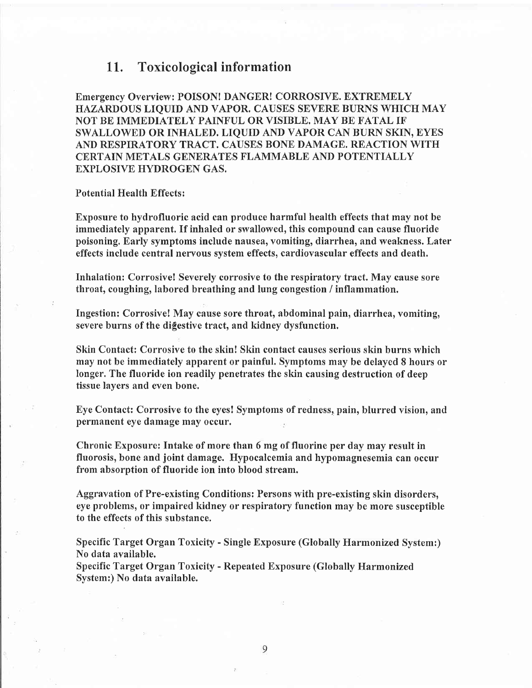### 1L. Toxicological information

Emergency Overview: POISON! DANGER! CORROSIVE. EXTREMELY HAZARDOUS LIQUID AND VAPOR. CAUSES SEVERE BURNS WHICH MAY NOT BE IMMEDIATELY PAINFUL OR VISIBLE. MAY BE FATAL IF SWALLOWED OR INHALED. LIQUID AND VAPOR CAN BURN SKIN, EYES AND RESPIRATORY TRACT. CAUSES BONE DAMAGE. REACTION WITH CERTAIN METALS GENERATES FLAMMABLE AND POTENTIALLY EXPLOSIVE HYDROGEN GAS.

#### Potential Health Effects:

Exposure to hydrofluoric acid can produce harmful health effects that may not be immediately apparent. If inhaled or swallowed, this compound can cause fluoride poisoning. Early symptoms include nausea, vomiting, diarrhea, and weakness. Later effects include central nervous system effects, cardiovascular effects and death.

Inhalation: Corrosive! Severely corrosive to the respiratory tract, May cause sore throat, coughing, labored breathing and lung congestion / inflammation.

Ingestion: Corrosive! May cause sore throat, abdominal pain, diarrhea, vomiting, severe burns of the digestive tract, and kidney dysfunction.

Skin Contact: Corrosive to the skin! Skin contact causes serious skin burns which may not be immediately apparent or painful. Symptoms may be delayed 8 hours or longer. The fluoride ion readily penetrates the skin causing destruction of deep tissue layers and even bone.

Eye Contact: Corrosive to the eyes! Symptoms of redness, pain, blurred vision, and permanent eye damage may occur.

Chronic Exposure: Intake of more than 6 mg of fluorine per day may result in fluorosis, bone and joint damage. Hypocalcemia and hypomagnesemia can occur from absorption of fluoride ion into blood stream.

Aggravation of Pre-existing Conditions: Persons with pre-existing skin disorders, eye problems, or impaired kidney or respiratory function may be more susceptible to the effects of this substance.

Specific Target Organ Toxicity - Single Exposure (Globally Harmonized System:) No data available.

Specific Target Organ Toxicity - Repeated Exposure (Globally Harmonized System:) No data available.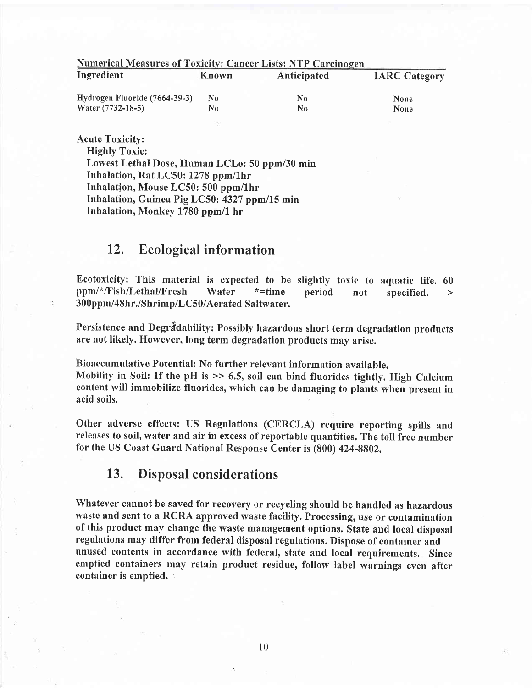| <b>Numerical Measures of Toxicity: Cancer Lists: NTP Carcinogen</b> |                |             |                      |  |  |  |
|---------------------------------------------------------------------|----------------|-------------|----------------------|--|--|--|
| Ingredient                                                          | Known          | Anticipated | <b>IARC Category</b> |  |  |  |
| Hydrogen Fluoride (7664-39-3)                                       | N <sub>0</sub> | No.         | <b>None</b>          |  |  |  |
| Water (7732-18-5)                                                   | No             | No.         | None                 |  |  |  |
|                                                                     |                |             |                      |  |  |  |

### Acute Toxicity:

Highly Toxic:

Lowest Lethal Dose, Human LCLo: 50 ppm/30 min Inhalation, Rat LC50: 1278 ppm/1hr Inhalation, Mouse LC50: 500 ppm/lhr Inhalation, Guinea Pig LC50: 4327 ppm/15 min Inhalation, Monkey 1780 ppm/1 hr

# 12. Ecological information

Ecotoxicity: This material is expected to be slightly toxic to aquatic life. 60 ppm/\*/Fish/Lethal/Fresh Water \*=time period not specified. > 300ppm/48hr./Shrimp/LC50/Aerated Saltwater.

Persistence and Degradability: Possibly hazardous short term degradation products are not likety. However, long term degradation products may arise.

Bioaccumulative Potential: No further relevant information available.

Mobility in Soil: If the pH is  $\gg$  6.5, soil can bind fluorides tightly. High Calcium content will immobilize fluorides, which can be damaging to plants when present in acid soils.

Other adverse effects: US Regulations (CERCLA) require reporting spills and releases to soil, water and air in excess of reportable quantities. The toll free number for the US Coast Guard National Response Center is (S00) 424-8802,

# 13. Disposal considerations

Whatever cannot be saved for recovery or recycling should be handled as hazardous waste and sent to a RCRA approved waste facilify. Processing, use or contamination of this product may change the waste management options. State and local disposal regulations may differ from federal disposal regulations. Dispose of container and unused contents in accordance with federal, state and local requirements. Since emptied containers may retain product residue, follow label warnings even after container is emptied. '.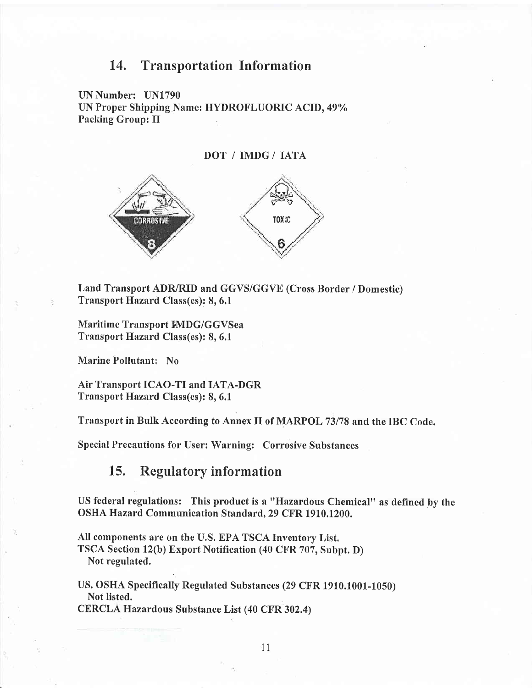## 14, Transportation Information

UN Number: UN1790 UN Proper Shipping Name: HYDROFLUORIC ACID, 49% Packing Group: Il





Land Transport ADR/RID and GGVS/GGVE (Cross Border / Domestic) Transport Hazard Class(es): 8, 6.1

Maritime Transport FMDG/GGVSea Transport Hazard Class(es): 8, 6.1

Marine Pollutant: No

Air Transport ICAO-TI and IATA-DGR Transport Hazard Class(es): 8, 6.1

Transport in Bulk According to Annex II of MARPOL 73178 and the IBC Code.

Special Precautions for User: Warning: Corrosive Substances

15. Regulatory information

US federal regulations: This product is a "Hazardous Chemical" as defined by the OSHA Hazard Communication Standard.29 CFR 1910.1200.

All components are on the U.S. EPA TSCA Inventory List. TSCA Section 12(b) Export Notification (40 CFR 707, Subpt. D) Not regulated.

US, OSHA Specifically Regulated Substances (29 CFR 1910.1001-1050) Not listed.

CERCLA Hazardous Substance List (40 CFR 302.4)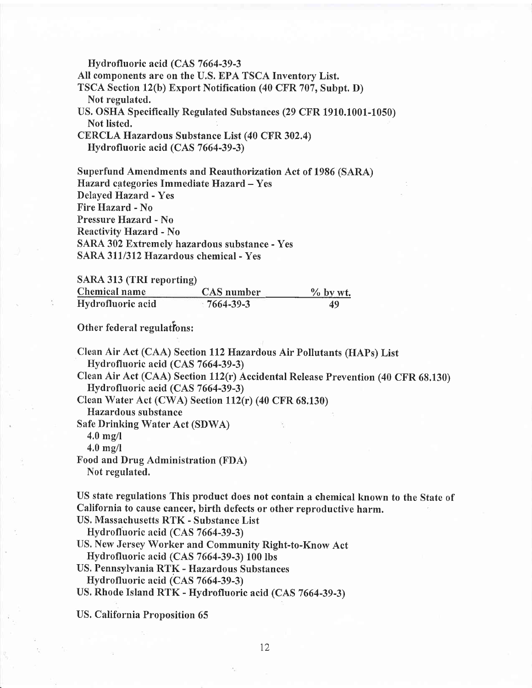Hydrofluoric acid (CAS 7664-39-3 All components are on the U.S. EPA TSCA Inventory List. TSCA Section l2(b) Export Notification (40 CFR 707, Subpt. D) Not regulated. US. OSHA Specifically Regulated Substances (29 CFR 1910.1001-1050) Not listed. CERCLA Hazardous Substance List (40 CFR 302.4)

Hydrofluoric acid (CAS 7664-39-3)

Superfund Amendments and Reauthorization Act of 1986 (SARA) Hazard categories Immediate Hazard - Yes Delayed Hazard - Yes Fire Hazard - No Pressure Hazard - No Reactivity Hazard - No SARA 302 Extremely hazardous substance - Yes SARA 311/312 Hazardous chemical - Yes

SARA 313 (TRI reporting)

| Chemical name     | CAS number | $\frac{9}{6}$ by wt. |
|-------------------|------------|----------------------|
| Hydrofluoric acid | 7664-39-3  | 49                   |

Other federal regulations:

Clean Air Act (CAA) Section ll2Hazardous Air Pollutants (HAPs) List Hydrofluoric acid (CAS 7664-39-3)

Clean Air Act (CAA) Section ll2(r) Accidental Release Prevention (40 CFR 68.130) Hydrofluoric acid (CAS 7664-39-3)

Clean Water Act (CWA) Section  $112(r)$  (40 CFR 68.130)

Hazardous substance

Safe Drinking Water Act (SDWA)

 $4.0 \text{ mg/l}$ 

4.0 mg/l

Food and Drug Administration (FDA) Not regulated.

US state regulations This product does not contain a chemical known to the State of California to cause cancer, birth defects or other reproductive harm.

US. Massachusetts RTK - Substance List

Hydrofluoric acid (CAS 7664-39-3)

US. New Jersey Worker and Community Right-to-Know Act Hydrofluoric acid (CAS 7664-39-3) 100 lbs

US. Pennsylvania RTK - Hazardous Substances Hydrofluoric acid (CAS 7664-39-3)

US, Rhode Island RTK - Hydrofluoric acid (CAS 7664-39-3)

US. California Proposition 65